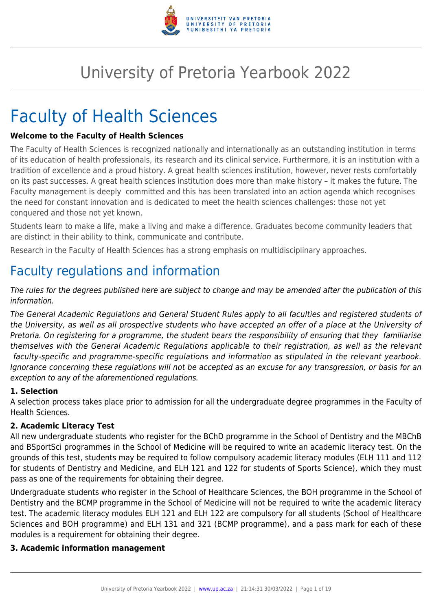

# University of Pretoria Yearbook 2022

# Faculty of Health Sciences

#### **Welcome to the Faculty of Health Sciences**

The Faculty of Health Sciences is recognized nationally and internationally as an outstanding institution in terms of its education of health professionals, its research and its clinical service. Furthermore, it is an institution with a tradition of excellence and a proud history. A great health sciences institution, however, never rests comfortably on its past successes. A great health sciences institution does more than make history – it makes the future. The Faculty management is deeply committed and this has been translated into an action agenda which recognises the need for constant innovation and is dedicated to meet the health sciences challenges: those not yet conquered and those not yet known.

Students learn to make a life, make a living and make a difference. Graduates become community leaders that are distinct in their ability to think, communicate and contribute.

Research in the Faculty of Health Sciences has a strong emphasis on multidisciplinary approaches.

# Faculty regulations and information

The rules for the degrees published here are subject to change and may be amended after the publication of this information.

The General Academic Regulations and General Student Rules apply to all faculties and registered students of the University, as well as all prospective students who have accepted an offer of a place at the University of Pretoria. On registering for a programme, the student bears the responsibility of ensuring that they familiarise themselves with the General Academic Regulations applicable to their registration, as well as the relevant faculty-specific and programme-specific regulations and information as stipulated in the relevant yearbook. Ignorance concerning these regulations will not be accepted as an excuse for any transgression, or basis for an exception to any of the aforementioned regulations.

#### **1. Selection**

A selection process takes place prior to admission for all the undergraduate degree programmes in the Faculty of Health Sciences.

#### **2. Academic Literacy Test**

All new undergraduate students who register for the BChD programme in the School of Dentistry and the MBChB and BSportSci programmes in the School of Medicine will be required to write an academic literacy test. On the grounds of this test, students may be required to follow compulsory academic literacy modules (ELH 111 and 112 for students of Dentistry and Medicine, and ELH 121 and 122 for students of Sports Science), which they must pass as one of the requirements for obtaining their degree.

Undergraduate students who register in the School of Healthcare Sciences, the BOH programme in the School of Dentistry and the BCMP programme in the School of Medicine will not be required to write the academic literacy test. The academic literacy modules ELH 121 and ELH 122 are compulsory for all students (School of Healthcare Sciences and BOH programme) and ELH 131 and 321 (BCMP programme), and a pass mark for each of these modules is a requirement for obtaining their degree.

#### **3. Academic information management**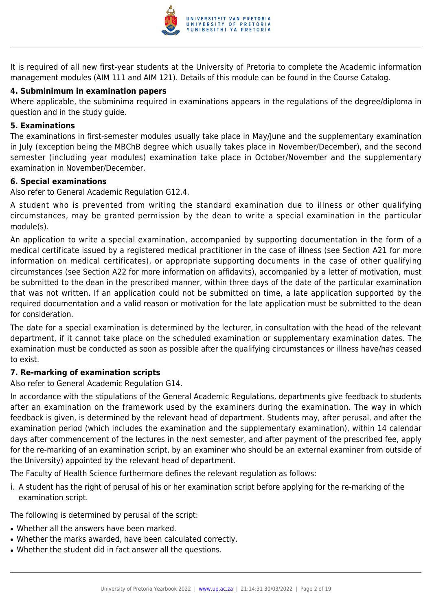

It is required of all new first-year students at the University of Pretoria to complete the Academic information management modules (AIM 111 and AIM 121). Details of this module can be found in the Course Catalog.

#### **4. Subminimum in examination papers**

Where applicable, the subminima required in examinations appears in the regulations of the degree/diploma in question and in the study guide.

#### **5. Examinations**

The examinations in first-semester modules usually take place in May/June and the supplementary examination in July (exception being the MBChB degree which usually takes place in November/December), and the second semester (including year modules) examination take place in October/November and the supplementary examination in November/December.

#### **6. Special examinations**

Also refer to General Academic Regulation G12.4.

A student who is prevented from writing the standard examination due to illness or other qualifying circumstances, may be granted permission by the dean to write a special examination in the particular module(s).

An application to write a special examination, accompanied by supporting documentation in the form of a medical certificate issued by a registered medical practitioner in the case of illness (see Section A21 for more information on medical certificates), or appropriate supporting documents in the case of other qualifying circumstances (see Section A22 for more information on affidavits), accompanied by a letter of motivation, must be submitted to the dean in the prescribed manner, within three days of the date of the particular examination that was not written. If an application could not be submitted on time, a late application supported by the required documentation and a valid reason or motivation for the late application must be submitted to the dean for consideration.

The date for a special examination is determined by the lecturer, in consultation with the head of the relevant department, if it cannot take place on the scheduled examination or supplementary examination dates. The examination must be conducted as soon as possible after the qualifying circumstances or illness have/has ceased to exist.

#### **7. Re-marking of examination scripts**

Also refer to General Academic Regulation G14.

In accordance with the stipulations of the General Academic Regulations, departments give feedback to students after an examination on the framework used by the examiners during the examination. The way in which feedback is given, is determined by the relevant head of department. Students may, after perusal, and after the examination period (which includes the examination and the supplementary examination), within 14 calendar days after commencement of the lectures in the next semester, and after payment of the prescribed fee, apply for the re-marking of an examination script, by an examiner who should be an external examiner from outside of the University) appointed by the relevant head of department.

The Faculty of Health Science furthermore defines the relevant regulation as follows:

i. A student has the right of perusal of his or her examination script before applying for the re-marking of the examination script.

The following is determined by perusal of the script:

- Whether all the answers have been marked.
- Whether the marks awarded, have been calculated correctly.
- Whether the student did in fact answer all the questions.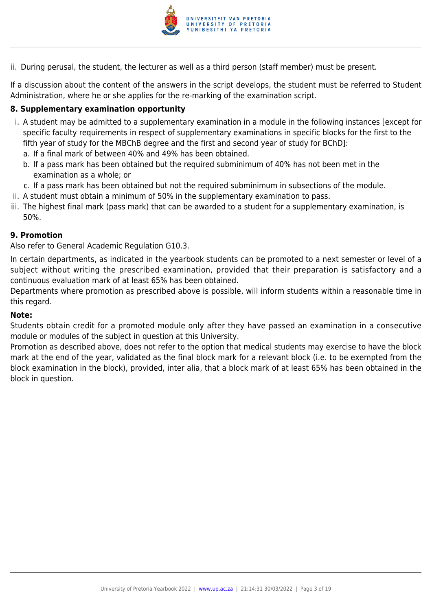

ii. During perusal, the student, the lecturer as well as a third person (staff member) must be present.

If a discussion about the content of the answers in the script develops, the student must be referred to Student Administration, where he or she applies for the re-marking of the examination script.

#### **8. Supplementary examination opportunity**

- i. A student may be admitted to a supplementary examination in a module in the following instances [except for specific faculty requirements in respect of supplementary examinations in specific blocks for the first to the fifth year of study for the MBChB degree and the first and second year of study for BChD]:
	- a. If a final mark of between 40% and 49% has been obtained.
	- b. If a pass mark has been obtained but the required subminimum of 40% has not been met in the examination as a whole; or
	- c. If a pass mark has been obtained but not the required subminimum in subsections of the module.
- ii. A student must obtain a minimum of 50% in the supplementary examination to pass.
- iii. The highest final mark (pass mark) that can be awarded to a student for a supplementary examination, is 50%.

#### **9. Promotion**

Also refer to General Academic Regulation G10.3.

In certain departments, as indicated in the yearbook students can be promoted to a next semester or level of a subject without writing the prescribed examination, provided that their preparation is satisfactory and a continuous evaluation mark of at least 65% has been obtained.

Departments where promotion as prescribed above is possible, will inform students within a reasonable time in this regard.

#### **Note:**

Students obtain credit for a promoted module only after they have passed an examination in a consecutive module or modules of the subject in question at this University.

Promotion as described above, does not refer to the option that medical students may exercise to have the block mark at the end of the year, validated as the final block mark for a relevant block (i.e. to be exempted from the block examination in the block), provided, inter alia, that a block mark of at least 65% has been obtained in the block in question.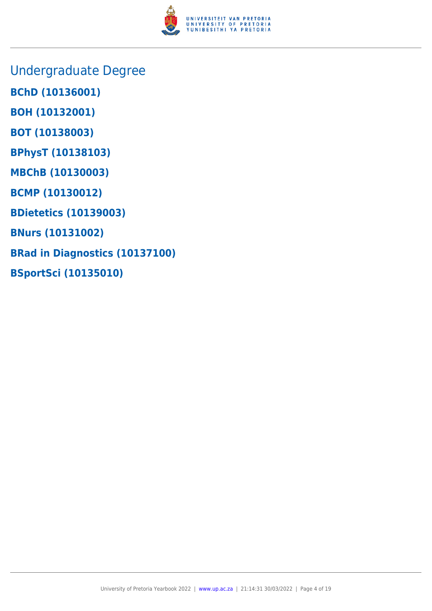

- Undergraduate Degree
- **BChD (10136001)**
- **BOH (10132001)**
- **BOT (10138003)**
- **BPhysT (10138103)**
- **MBChB (10130003)**
- **BCMP (10130012)**
- **BDietetics (10139003)**
- **BNurs (10131002)**
- **BRad in Diagnostics (10137100)**
- **BSportSci (10135010)**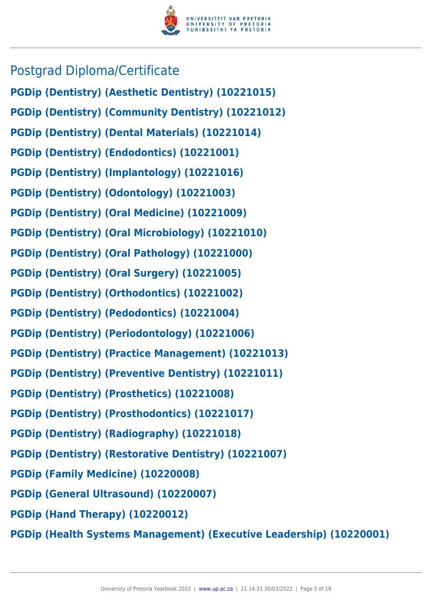

## Postgrad Diploma/Certificate

- **PGDip (Dentistry) (Aesthetic Dentistry) (10221015)**
- **PGDip (Dentistry) (Community Dentistry) (10221012)**
- **PGDip (Dentistry) (Dental Materials) (10221014)**
- **PGDip (Dentistry) (Endodontics) (10221001)**
- **PGDip (Dentistry) (Implantology) (10221016)**
- **PGDip (Dentistry) (Odontology) (10221003)**
- **PGDip (Dentistry) (Oral Medicine) (10221009)**
- **PGDip (Dentistry) (Oral Microbiology) (10221010)**
- **PGDip (Dentistry) (Oral Pathology) (10221000)**
- **PGDip (Dentistry) (Oral Surgery) (10221005)**
- **PGDip (Dentistry) (Orthodontics) (10221002)**
- **PGDip (Dentistry) (Pedodontics) (10221004)**
- **PGDip (Dentistry) (Periodontology) (10221006)**
- **PGDip (Dentistry) (Practice Management) (10221013)**
- **PGDip (Dentistry) (Preventive Dentistry) (10221011)**
- **PGDip (Dentistry) (Prosthetics) (10221008)**
- **PGDip (Dentistry) (Prosthodontics) (10221017)**
- **PGDip (Dentistry) (Radiography) (10221018)**
- **PGDip (Dentistry) (Restorative Dentistry) (10221007)**
- **PGDip (Family Medicine) (10220008)**
- **PGDip (General Ultrasound) (10220007)**
- **PGDip (Hand Therapy) (10220012)**
- **PGDip (Health Systems Management) (Executive Leadership) (10220001)**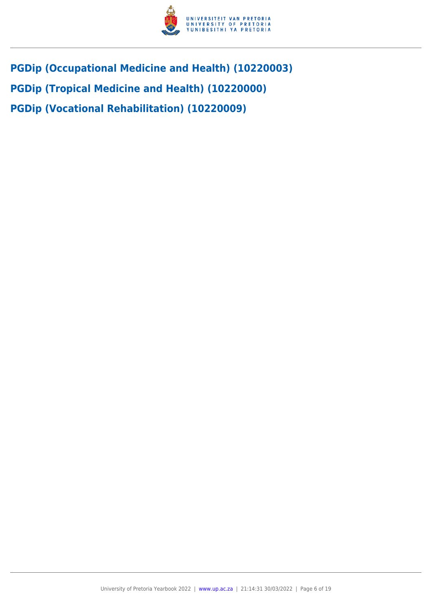

- **PGDip (Occupational Medicine and Health) (10220003)**
- **PGDip (Tropical Medicine and Health) (10220000)**
- **PGDip (Vocational Rehabilitation) (10220009)**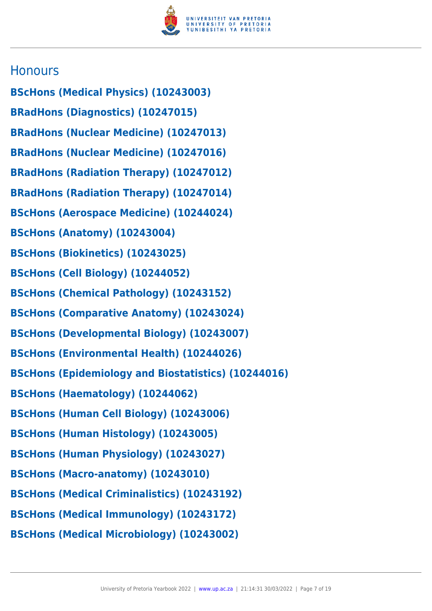

### **Honours**

- **BScHons (Medical Physics) (10243003)**
- **BRadHons (Diagnostics) (10247015)**
- **BRadHons (Nuclear Medicine) (10247013)**
- **BRadHons (Nuclear Medicine) (10247016)**
- **BRadHons (Radiation Therapy) (10247012)**
- **BRadHons (Radiation Therapy) (10247014)**
- **BScHons (Aerospace Medicine) (10244024)**
- **BScHons (Anatomy) (10243004)**
- **BScHons (Biokinetics) (10243025)**
- **BScHons (Cell Biology) (10244052)**
- **BScHons (Chemical Pathology) (10243152)**
- **BScHons (Comparative Anatomy) (10243024)**
- **BScHons (Developmental Biology) (10243007)**
- **BScHons (Environmental Health) (10244026)**
- **BScHons (Epidemiology and Biostatistics) (10244016)**
- **BScHons (Haematology) (10244062)**
- **BScHons (Human Cell Biology) (10243006)**
- **BScHons (Human Histology) (10243005)**
- **BScHons (Human Physiology) (10243027)**
- **BScHons (Macro-anatomy) (10243010)**
- **BScHons (Medical Criminalistics) (10243192)**
- **BScHons (Medical Immunology) (10243172)**
- **BScHons (Medical Microbiology) (10243002)**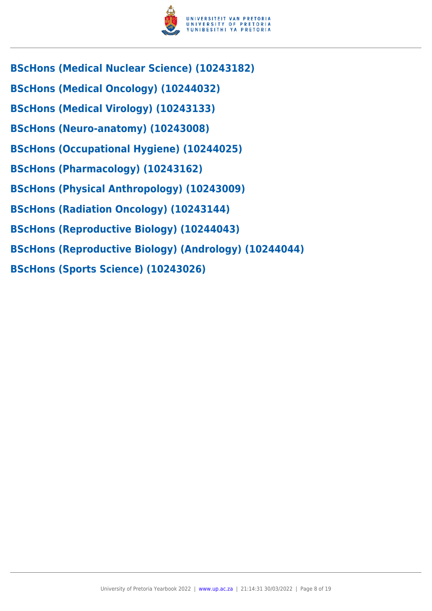

- **BScHons (Medical Nuclear Science) (10243182)**
- **BScHons (Medical Oncology) (10244032)**
- **BScHons (Medical Virology) (10243133)**
- **BScHons (Neuro-anatomy) (10243008)**
- **BScHons (Occupational Hygiene) (10244025)**
- **BScHons (Pharmacology) (10243162)**
- **BScHons (Physical Anthropology) (10243009)**
- **BScHons (Radiation Oncology) (10243144)**
- **BScHons (Reproductive Biology) (10244043)**
- **BScHons (Reproductive Biology) (Andrology) (10244044)**
- **BScHons (Sports Science) (10243026)**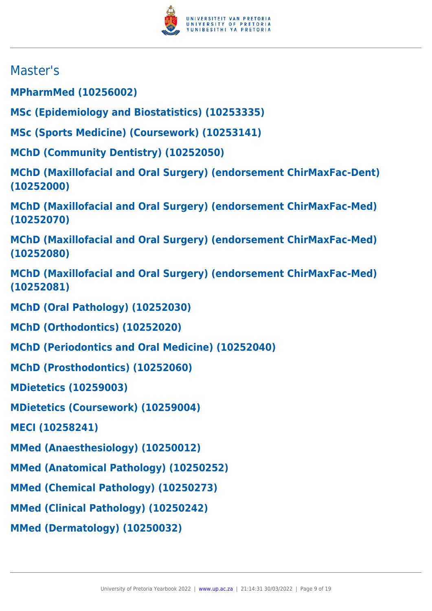

## Master's

**MPharmMed (10256002)**

**MSc (Epidemiology and Biostatistics) (10253335)**

**MSc (Sports Medicine) (Coursework) (10253141)**

**MChD (Community Dentistry) (10252050)**

**MChD (Maxillofacial and Oral Surgery) (endorsement ChirMaxFac-Dent) (10252000)**

**MChD (Maxillofacial and Oral Surgery) (endorsement ChirMaxFac-Med) (10252070)**

**MChD (Maxillofacial and Oral Surgery) (endorsement ChirMaxFac-Med) (10252080)**

**MChD (Maxillofacial and Oral Surgery) (endorsement ChirMaxFac-Med) (10252081)**

**MChD (Oral Pathology) (10252030)**

**MChD (Orthodontics) (10252020)**

**MChD (Periodontics and Oral Medicine) (10252040)**

**MChD (Prosthodontics) (10252060)**

**MDietetics (10259003)**

**MDietetics (Coursework) (10259004)**

**MECI (10258241)**

**MMed (Anaesthesiology) (10250012)**

**MMed (Anatomical Pathology) (10250252)**

**MMed (Chemical Pathology) (10250273)**

**MMed (Clinical Pathology) (10250242)**

**MMed (Dermatology) (10250032)**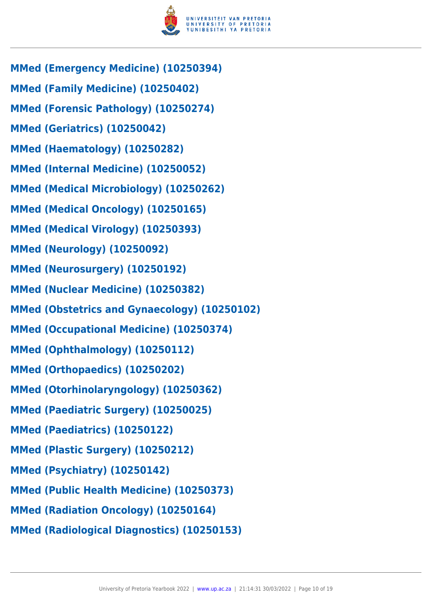

- **MMed (Emergency Medicine) (10250394)**
- **MMed (Family Medicine) (10250402)**
- **MMed (Forensic Pathology) (10250274)**
- **MMed (Geriatrics) (10250042)**
- **MMed (Haematology) (10250282)**
- **MMed (Internal Medicine) (10250052)**
- **MMed (Medical Microbiology) (10250262)**
- **MMed (Medical Oncology) (10250165)**
- **MMed (Medical Virology) (10250393)**
- **MMed (Neurology) (10250092)**
- **MMed (Neurosurgery) (10250192)**
- **MMed (Nuclear Medicine) (10250382)**
- **MMed (Obstetrics and Gynaecology) (10250102)**
- **MMed (Occupational Medicine) (10250374)**
- **MMed (Ophthalmology) (10250112)**
- **MMed (Orthopaedics) (10250202)**
- **MMed (Otorhinolaryngology) (10250362)**
- **MMed (Paediatric Surgery) (10250025)**
- **MMed (Paediatrics) (10250122)**
- **MMed (Plastic Surgery) (10250212)**
- **MMed (Psychiatry) (10250142)**
- **MMed (Public Health Medicine) (10250373)**
- **MMed (Radiation Oncology) (10250164)**
- **MMed (Radiological Diagnostics) (10250153)**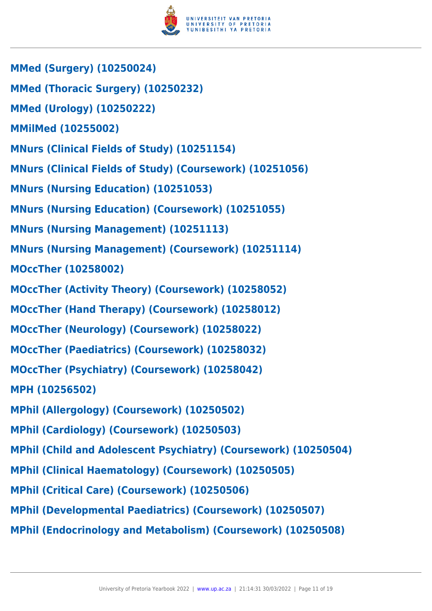

- **MMed (Surgery) (10250024)**
- **MMed (Thoracic Surgery) (10250232)**
- **MMed (Urology) (10250222)**
- **MMilMed (10255002)**
- **MNurs (Clinical Fields of Study) (10251154)**
- **MNurs (Clinical Fields of Study) (Coursework) (10251056)**
- **MNurs (Nursing Education) (10251053)**
- **MNurs (Nursing Education) (Coursework) (10251055)**
- **MNurs (Nursing Management) (10251113)**
- **MNurs (Nursing Management) (Coursework) (10251114)**
- **MOccTher (10258002)**
- **MOccTher (Activity Theory) (Coursework) (10258052)**
- **MOccTher (Hand Therapy) (Coursework) (10258012)**
- **MOccTher (Neurology) (Coursework) (10258022)**
- **MOccTher (Paediatrics) (Coursework) (10258032)**
- **MOccTher (Psychiatry) (Coursework) (10258042)**
- **MPH (10256502)**
- **MPhil (Allergology) (Coursework) (10250502)**
- **MPhil (Cardiology) (Coursework) (10250503)**
- **MPhil (Child and Adolescent Psychiatry) (Coursework) (10250504)**
- **MPhil (Clinical Haematology) (Coursework) (10250505)**
- **MPhil (Critical Care) (Coursework) (10250506)**
- **MPhil (Developmental Paediatrics) (Coursework) (10250507)**
- **MPhil (Endocrinology and Metabolism) (Coursework) (10250508)**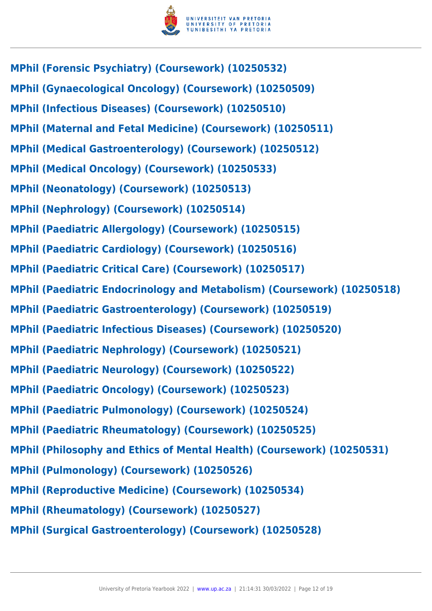

- **MPhil (Forensic Psychiatry) (Coursework) (10250532)**
- **MPhil (Gynaecological Oncology) (Coursework) (10250509)**
- **MPhil (Infectious Diseases) (Coursework) (10250510)**
- **MPhil (Maternal and Fetal Medicine) (Coursework) (10250511)**
- **MPhil (Medical Gastroenterology) (Coursework) (10250512)**
- **MPhil (Medical Oncology) (Coursework) (10250533)**
- **MPhil (Neonatology) (Coursework) (10250513)**
- **MPhil (Nephrology) (Coursework) (10250514)**
- **MPhil (Paediatric Allergology) (Coursework) (10250515)**
- **MPhil (Paediatric Cardiology) (Coursework) (10250516)**
- **MPhil (Paediatric Critical Care) (Coursework) (10250517)**
- **MPhil (Paediatric Endocrinology and Metabolism) (Coursework) (10250518)**
- **MPhil (Paediatric Gastroenterology) (Coursework) (10250519)**
- **MPhil (Paediatric Infectious Diseases) (Coursework) (10250520)**
- **MPhil (Paediatric Nephrology) (Coursework) (10250521)**
- **MPhil (Paediatric Neurology) (Coursework) (10250522)**
- **MPhil (Paediatric Oncology) (Coursework) (10250523)**
- **MPhil (Paediatric Pulmonology) (Coursework) (10250524)**
- **MPhil (Paediatric Rheumatology) (Coursework) (10250525)**
- **MPhil (Philosophy and Ethics of Mental Health) (Coursework) (10250531)**
- **MPhil (Pulmonology) (Coursework) (10250526)**
- **MPhil (Reproductive Medicine) (Coursework) (10250534)**
- **MPhil (Rheumatology) (Coursework) (10250527)**
- **MPhil (Surgical Gastroenterology) (Coursework) (10250528)**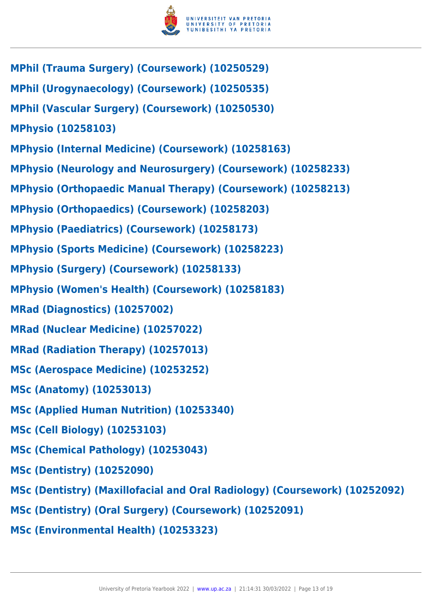

- **MPhil (Trauma Surgery) (Coursework) (10250529)**
- **MPhil (Urogynaecology) (Coursework) (10250535)**
- **MPhil (Vascular Surgery) (Coursework) (10250530)**

**MPhysio (10258103)**

- **MPhysio (Internal Medicine) (Coursework) (10258163)**
- **MPhysio (Neurology and Neurosurgery) (Coursework) (10258233)**
- **MPhysio (Orthopaedic Manual Therapy) (Coursework) (10258213)**
- **MPhysio (Orthopaedics) (Coursework) (10258203)**
- **MPhysio (Paediatrics) (Coursework) (10258173)**
- **MPhysio (Sports Medicine) (Coursework) (10258223)**
- **MPhysio (Surgery) (Coursework) (10258133)**
- **MPhysio (Women's Health) (Coursework) (10258183)**
- **MRad (Diagnostics) (10257002)**
- **MRad (Nuclear Medicine) (10257022)**
- **MRad (Radiation Therapy) (10257013)**
- **MSc (Aerospace Medicine) (10253252)**
- **MSc (Anatomy) (10253013)**
- **MSc (Applied Human Nutrition) (10253340)**
- **MSc (Cell Biology) (10253103)**
- **MSc (Chemical Pathology) (10253043)**
- **MSc (Dentistry) (10252090)**
- **MSc (Dentistry) (Maxillofacial and Oral Radiology) (Coursework) (10252092)**
- **MSc (Dentistry) (Oral Surgery) (Coursework) (10252091)**
- **MSc (Environmental Health) (10253323)**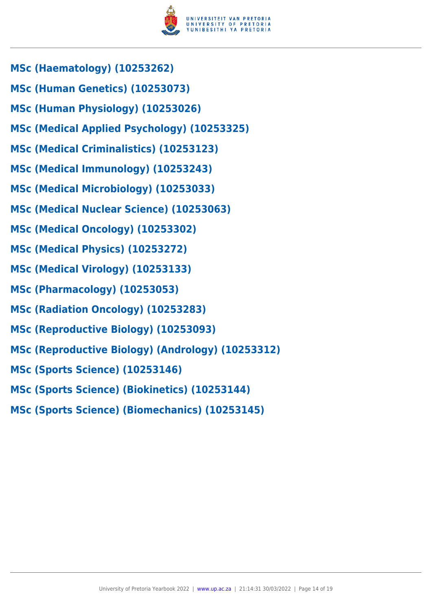

- **MSc (Haematology) (10253262)**
- **MSc (Human Genetics) (10253073)**
- **MSc (Human Physiology) (10253026)**
- **MSc (Medical Applied Psychology) (10253325)**
- **MSc (Medical Criminalistics) (10253123)**
- **MSc (Medical Immunology) (10253243)**
- **MSc (Medical Microbiology) (10253033)**
- **MSc (Medical Nuclear Science) (10253063)**
- **MSc (Medical Oncology) (10253302)**
- **MSc (Medical Physics) (10253272)**
- **MSc (Medical Virology) (10253133)**
- **MSc (Pharmacology) (10253053)**
- **MSc (Radiation Oncology) (10253283)**
- **MSc (Reproductive Biology) (10253093)**
- **MSc (Reproductive Biology) (Andrology) (10253312)**
- **MSc (Sports Science) (10253146)**
- **MSc (Sports Science) (Biokinetics) (10253144)**
- **MSc (Sports Science) (Biomechanics) (10253145)**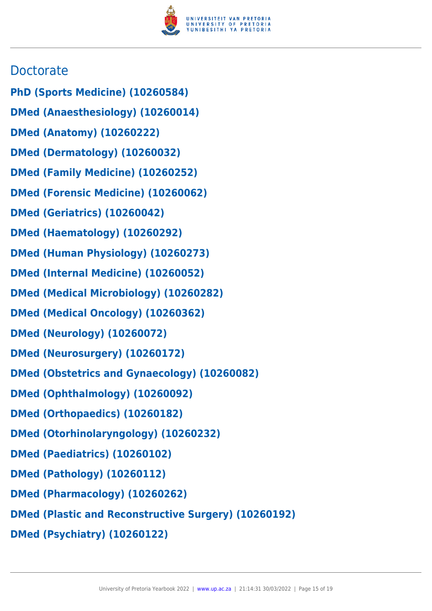

## **Doctorate**

- **PhD (Sports Medicine) (10260584)**
- **DMed (Anaesthesiology) (10260014)**
- **DMed (Anatomy) (10260222)**
- **DMed (Dermatology) (10260032)**
- **DMed (Family Medicine) (10260252)**
- **DMed (Forensic Medicine) (10260062)**
- **DMed (Geriatrics) (10260042)**
- **DMed (Haematology) (10260292)**
- **DMed (Human Physiology) (10260273)**
- **DMed (Internal Medicine) (10260052)**
- **DMed (Medical Microbiology) (10260282)**
- **DMed (Medical Oncology) (10260362)**
- **DMed (Neurology) (10260072)**
- **DMed (Neurosurgery) (10260172)**
- **DMed (Obstetrics and Gynaecology) (10260082)**
- **DMed (Ophthalmology) (10260092)**
- **DMed (Orthopaedics) (10260182)**
- **DMed (Otorhinolaryngology) (10260232)**
- **DMed (Paediatrics) (10260102)**
- **DMed (Pathology) (10260112)**
- **DMed (Pharmacology) (10260262)**
- **DMed (Plastic and Reconstructive Surgery) (10260192)**
- **DMed (Psychiatry) (10260122)**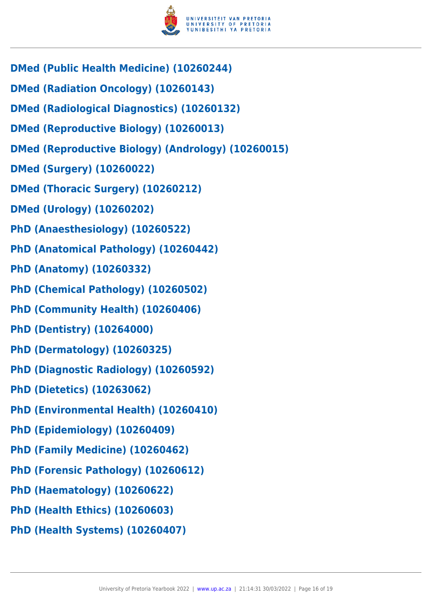

- **DMed (Public Health Medicine) (10260244)**
- **DMed (Radiation Oncology) (10260143)**
- **DMed (Radiological Diagnostics) (10260132)**
- **DMed (Reproductive Biology) (10260013)**
- **DMed (Reproductive Biology) (Andrology) (10260015)**
- **DMed (Surgery) (10260022)**
- **DMed (Thoracic Surgery) (10260212)**
- **DMed (Urology) (10260202)**
- **PhD (Anaesthesiology) (10260522)**
- **PhD (Anatomical Pathology) (10260442)**
- **PhD (Anatomy) (10260332)**
- **PhD (Chemical Pathology) (10260502)**
- **PhD (Community Health) (10260406)**
- **PhD (Dentistry) (10264000)**
- **PhD (Dermatology) (10260325)**
- **PhD (Diagnostic Radiology) (10260592)**
- **PhD (Dietetics) (10263062)**
- **PhD (Environmental Health) (10260410)**
- **PhD (Epidemiology) (10260409)**
- **PhD (Family Medicine) (10260462)**
- **PhD (Forensic Pathology) (10260612)**
- **PhD (Haematology) (10260622)**
- **PhD (Health Ethics) (10260603)**
- **PhD (Health Systems) (10260407)**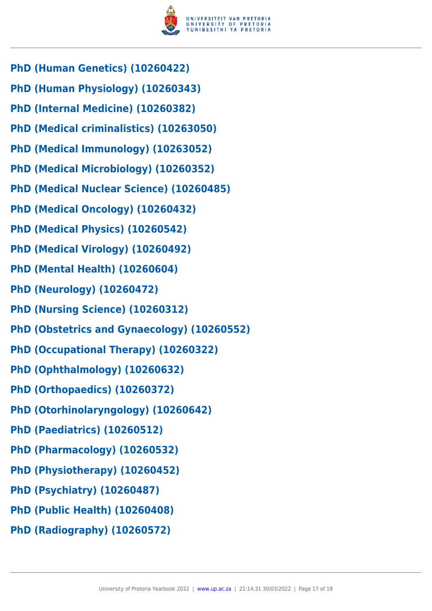

- **PhD (Human Genetics) (10260422)**
- **PhD (Human Physiology) (10260343)**
- **PhD (Internal Medicine) (10260382)**
- **PhD (Medical criminalistics) (10263050)**
- **PhD (Medical Immunology) (10263052)**
- **PhD (Medical Microbiology) (10260352)**
- **PhD (Medical Nuclear Science) (10260485)**
- **PhD (Medical Oncology) (10260432)**
- **PhD (Medical Physics) (10260542)**
- **PhD (Medical Virology) (10260492)**
- **PhD (Mental Health) (10260604)**
- **PhD (Neurology) (10260472)**
- **PhD (Nursing Science) (10260312)**
- **PhD (Obstetrics and Gynaecology) (10260552)**
- **PhD (Occupational Therapy) (10260322)**
- **PhD (Ophthalmology) (10260632)**
- **PhD (Orthopaedics) (10260372)**
- **PhD (Otorhinolaryngology) (10260642)**
- **PhD (Paediatrics) (10260512)**
- **PhD (Pharmacology) (10260532)**
- **PhD (Physiotherapy) (10260452)**
- **PhD (Psychiatry) (10260487)**
- **PhD (Public Health) (10260408)**
- **PhD (Radiography) (10260572)**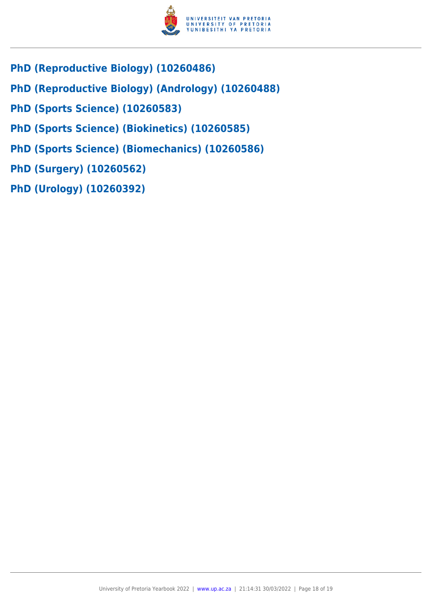

- **PhD (Reproductive Biology) (10260486)**
- **PhD (Reproductive Biology) (Andrology) (10260488)**
- **PhD (Sports Science) (10260583)**
- **PhD (Sports Science) (Biokinetics) (10260585)**
- **PhD (Sports Science) (Biomechanics) (10260586)**
- **PhD (Surgery) (10260562)**
- **PhD (Urology) (10260392)**